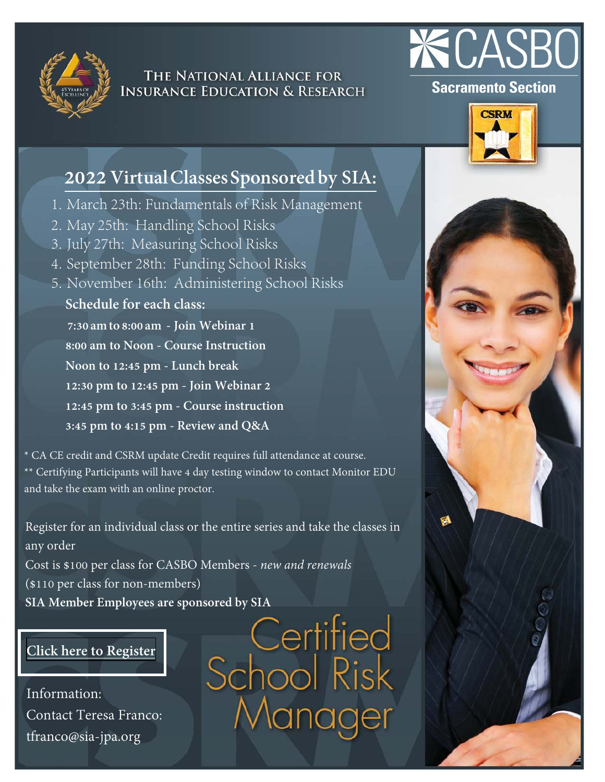

### THE NATIONAL ALLIANCE FOR **INSURANCE EDUCATION & RESEARCH**



### **Sacramento Section**



### **2022Virtual Classes Sponsored by SIA:**

- 1. March 23th: Fundamentals of Risk Management
- 2. May 25th: Handling School Risks
- 3. July 27th: Measuring School Risks
- 4. September 28th: Funding School Risks
- 5. November 16th: Administering School Risks **Schedule for each class: 7:30 am to 8:00 am - Join Webinar 1 8:00 am to Noon - Course Instruction Noon to 12:45 pm - Lunch break 12:30 pm to 12:45 pm - Join Webinar 2 12:45 pm to 3:45 pm - Course instruction 3:45 pm to 4:15 pm - Review and Q&A**

\* CA CE credit and CSRM update Credit requires full attendance at course. \*\* Certifying Participants will have 4 day testing window to contact Monitor EDU and take the exam with an online proctor.

Register for an individual class or the entire series and take the classes in any order Cost is \$100 per class for CASBO Members - *new and renewals* (\$110 per class for non-members)

### **[Click here to Register](https://www.surveymonkey.com/r/RHT8M37)**

Information: Contact Teresa Franco: tfranco@sia-jpa.org

SIA Member Employees are sponsored by SIA<br>
CHITTEO<br>
CHOOL<br>
The SCHOOL<br>
SCHOOL<br>
SCHOOL<br>
RISK Manager

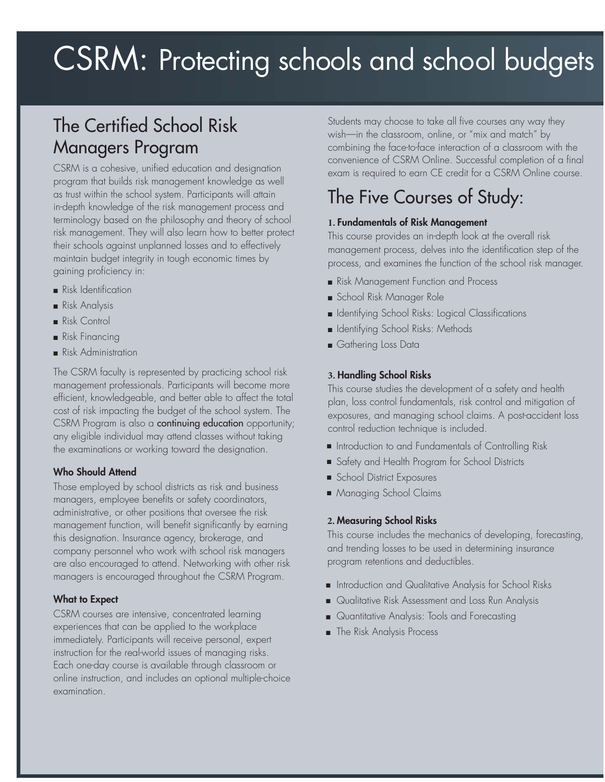# CSRM: Protecting schools and school budgets

# The Certified School Risk Managers Program

CSRM is a cohesive, unified education and designation program that builds risk management knowledge as well as trust within the school system. Participants will attain in-depth knowledge of the risk management process and terminology based on the philosophy and theory of school risk management. They will also learn how to better protect their schools against unplanned losses and to effectively maintain budget integrity in tough economic times by gaining proficiency in:

- Risk Identification
- Risk Analysis
- Risk Control
- Risk Financing
- Risk Administration

The CSRM faculty is represented by practicing school risk management professionals. Participants will become more efficient, knowledgeable, and better able to affect the total cost of risk impacting the budget of the school system. The CSRM Program is also a continuing education opportunity; any eligible individual may attend classes without taking the examinations or working toward the designation.

#### **Who Should Attend**

Those employed by school districts as risk and business managers, employee benefits or safety coordinators, administrative, or other positions that oversee the risk management function, will benefit significantly by earning this designation. Insurance agency, brokerage, and company personnel who work with school risk managers are also encouraged to attend. Networking with other risk managers is encouraged throughout the CSRM Program.

#### **What to Expect**

CSRM courses are intensive, concentrated learning experiences that can be applied to the workplace immediately. Participants will receive personal, expert instruction for the real-world issues of managing risks. Each one-day course is available through classroom or online instruction, and includes an optional multiple-choice examination.

Students may choose to take all five courses any way they wish—in the classroom, online, or "mix and match" by combining the face-to-face interaction of a classroom with the convenience of CSRM Online. Successful completion of a final exam is required to earn CE credit for a CSRM Online course.

### The Five Courses of Study:

#### **Fundamentals of Risk Management**

This course provides an in-depth look at the overall risk management process, delves into the identification step of the process, and examines the function of the school risk manager.

- Risk Management Function and Process
- School Risk Manager Role
- **In Identifying School Risks: Logical Classifications**
- **B** Identifying School Risks: Methods
- Gathering Loss Data

#### **Handling School Risks**

This course studies the development of a safety and health plan, loss control fundamentals, risk control and mitigation of exposures, and managing school claims. A post-accident loss control reduction technique is included.

- $\blacksquare$  Introduction to and Fundamentals of Controlling Risk
- Safety and Health Program for School Districts Q
- School District Exposures
- Managing School Claims Q

#### **Measuring School Risks**

This course includes the mechanics of developing, forecasting, and trending losses to be used in determining insurance program retentions and deductibles.

- $\blacksquare$  Introduction and Qualitative Analysis for School Risks
- Q Qualitative Risk Assessment and Loss Run Analysis
- Q Quantitative Analysis: Tools and Forecasting
- $\blacksquare$  The Risk Analysis Process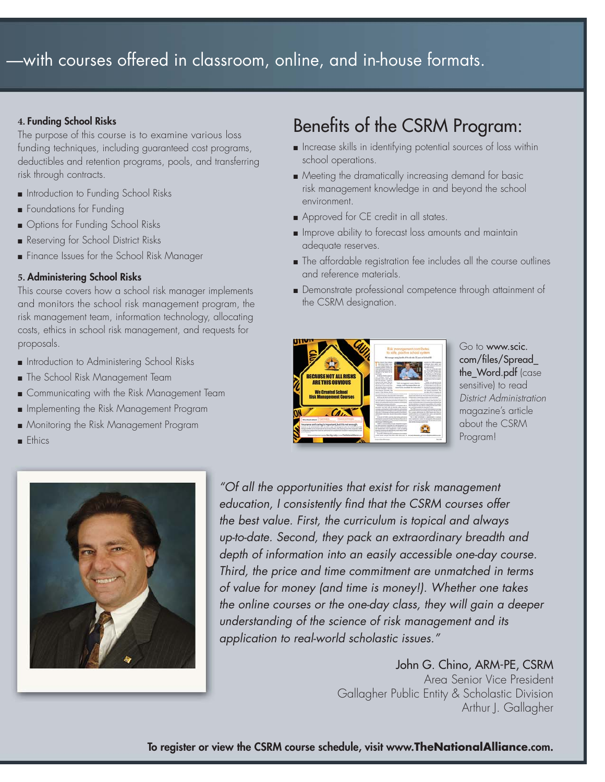### —with courses offered in classroom, online, and in-house formats.

#### **Funding School Risks**

The purpose of this course is to examine various loss funding techniques, including guaranteed cost programs, deductibles and retention programs, pools, and transferring risk through contracts.

- Introduction to Funding School Risks
- **F** Foundations for Funding
- **D** Options for Funding School Risks
- Reserving for School District Risks
- Finance Issues for the School Risk Manager

#### **Administering School Risks**

This course covers how a school risk manager implements and monitors the school risk management program, the risk management team, information technology, allocating costs, ethics in school risk management, and requests for proposals.

- Introduction to Administering School Risks
- **Film** The School Risk Management Team
- Gommunicating with the Risk Management Team
- **n** Implementing the Risk Management Program
- Monitoring the Risk Management Program
- Ethics

# Benefits of the CSRM Program:

- **n** Increase skills in identifying potential sources of loss within school operations.
- Meeting the dramatically increasing demand for basic risk management knowledge in and beyond the school environment.
- **Approved for CE credit in all states.**
- **IMPROVE ability to forecast loss amounts and maintain** adequate reserves.
- The affordable registration fee includes all the course outlines and reference materials.
- Demonstrate professional competence through attainment of the CSRM designation.



Go to www.scic. com/files/Spread\_ the\_Word.pdf (case sensitive) to read District Administration magazine's article about the CSRM Program!



"Of all the opportunities that exist for risk management education, I consistently find that the CSRM courses offer the best value. First, the curriculum is topical and always up-to-date. Second, they pack an extraordinary breadth and depth of information into an easily accessible one-day course. Third, the price and time commitment are unmatched in terms of value for money (and time is money!). Whether one takes the online courses or the one-day class, they will gain a deeper understanding of the science of risk management and its application to real-world scholastic issues."

> John G. Chino, ARM-PE, CSRM Area Senior Vice President Gallagher Public Entity & Scholastic Division Arthur J. Gallagher

**To register or view the CSRM course schedule, visit www.TheNationalAlliance.com.**